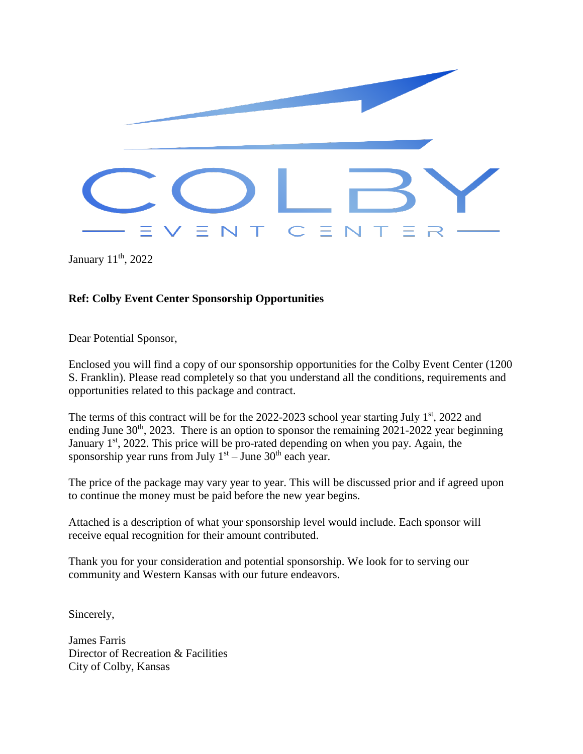

January 11th, 2022

#### **Ref: Colby Event Center Sponsorship Opportunities**

Dear Potential Sponsor,

Enclosed you will find a copy of our sponsorship opportunities for the Colby Event Center (1200 S. Franklin). Please read completely so that you understand all the conditions, requirements and opportunities related to this package and contract.

The terms of this contract will be for the  $2022-2023$  school year starting July  $1<sup>st</sup>$ , 2022 and ending June  $30<sup>th</sup>$ , 2023. There is an option to sponsor the remaining 2021-2022 year beginning January 1<sup>st</sup>, 2022. This price will be pro-rated depending on when you pay. Again, the sponsorship year runs from July  $1<sup>st</sup> -$  June 30<sup>th</sup> each year.

The price of the package may vary year to year. This will be discussed prior and if agreed upon to continue the money must be paid before the new year begins.

Attached is a description of what your sponsorship level would include. Each sponsor will receive equal recognition for their amount contributed.

Thank you for your consideration and potential sponsorship. We look for to serving our community and Western Kansas with our future endeavors.

Sincerely,

James Farris Director of Recreation & Facilities City of Colby, Kansas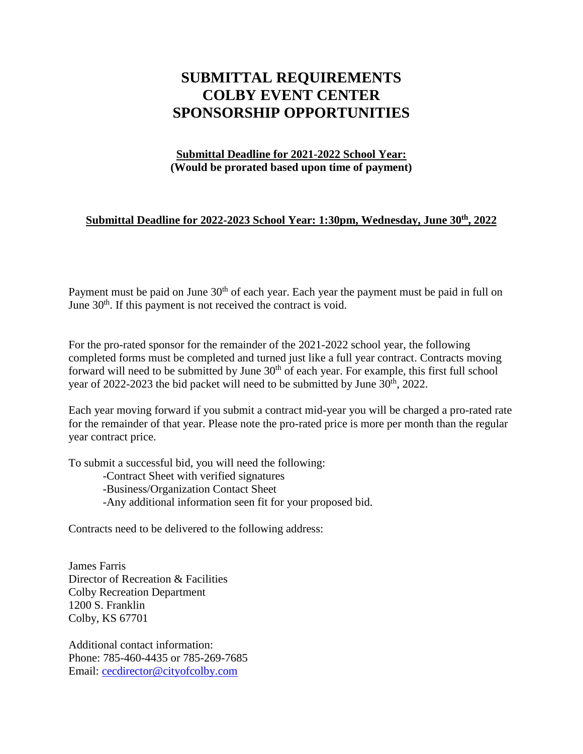### **SUBMITTAL REQUIREMENTS COLBY EVENT CENTER SPONSORSHIP OPPORTUNITIES**

#### **Submittal Deadline for 2021-2022 School Year: (Would be prorated based upon time of payment)**

#### **Submittal Deadline for 2022-2023 School Year: 1:30pm, Wednesday, June 30th , 2022**

Payment must be paid on June  $30<sup>th</sup>$  of each year. Each year the payment must be paid in full on June  $30<sup>th</sup>$ . If this payment is not received the contract is void.

For the pro-rated sponsor for the remainder of the 2021-2022 school year, the following completed forms must be completed and turned just like a full year contract. Contracts moving forward will need to be submitted by June  $30<sup>th</sup>$  of each year. For example, this first full school year of 2022-2023 the bid packet will need to be submitted by June  $30<sup>th</sup>$ , 2022.

Each year moving forward if you submit a contract mid-year you will be charged a pro-rated rate for the remainder of that year. Please note the pro-rated price is more per month than the regular year contract price.

To submit a successful bid, you will need the following:

-Contract Sheet with verified signatures -Business/Organization Contact Sheet -Any additional information seen fit for your proposed bid.

Contracts need to be delivered to the following address:

James Farris Director of Recreation & Facilities Colby Recreation Department 1200 S. Franklin Colby, KS 67701

Additional contact information: Phone: 785-460-4435 or 785-269-7685 Email: [cecdirector@cityofcolby.com](mailto:cecdirector@cityofcolby.com)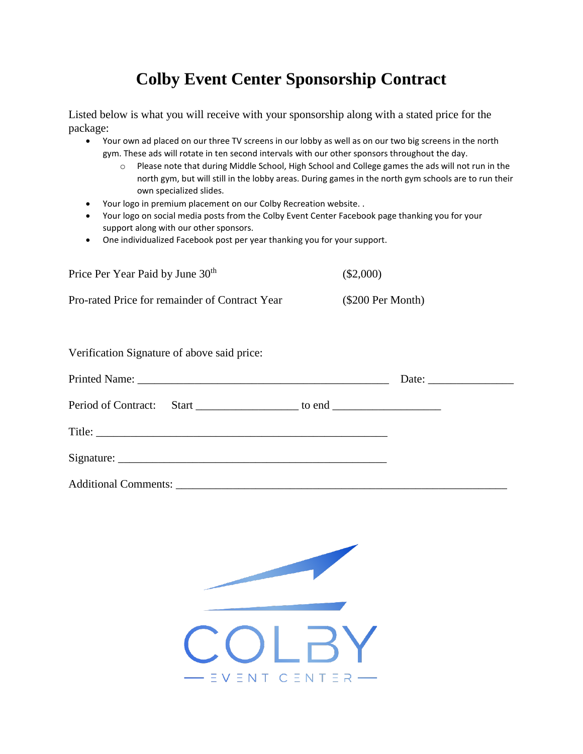## **Colby Event Center Sponsorship Contract**

Listed below is what you will receive with your sponsorship along with a stated price for the package:

- Your own ad placed on our three TV screens in our lobby as well as on our two big screens in the north gym. These ads will rotate in ten second intervals with our other sponsors throughout the day.
	- o Please note that during Middle School, High School and College games the ads will not run in the north gym, but will still in the lobby areas. During games in the north gym schools are to run their own specialized slides.
- Your logo in premium placement on our Colby Recreation website. .
- Your logo on social media posts from the Colby Event Center Facebook page thanking you for your support along with our other sponsors.
- One individualized Facebook post per year thanking you for your support.

| Price Per Year Paid by June 30 <sup>th</sup>   | $(\$2,000)$         |
|------------------------------------------------|---------------------|
| Pro-rated Price for remainder of Contract Year | $(\$200$ Per Month) |

| Verification Signature of above said price:                                      |  |  |
|----------------------------------------------------------------------------------|--|--|
|                                                                                  |  |  |
| Period of Contract: Start _____________________ to end _________________________ |  |  |
|                                                                                  |  |  |
|                                                                                  |  |  |
| <b>Additional Comments:</b>                                                      |  |  |